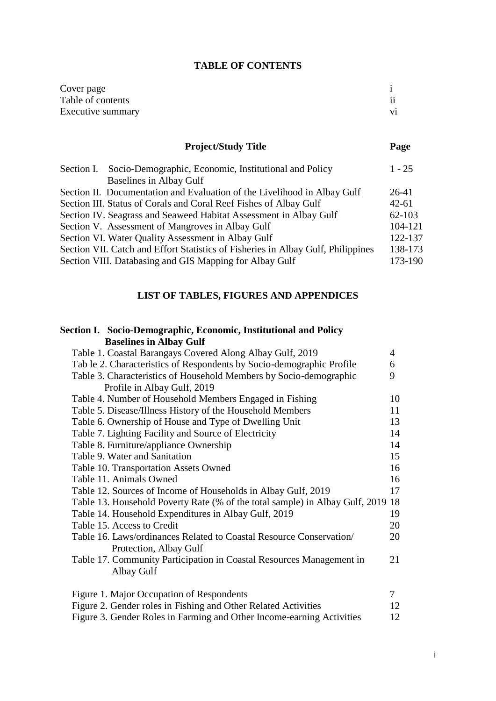## **TABLE OF CONTENTS**

| Cover page        |           |
|-------------------|-----------|
| Table of contents | $\cdot$ . |
| Executive summary | V1        |

# **Project/Study Title Page**

| Section I. Socio-Demographic, Economic, Institutional and Policy                 | $1 - 25$  |
|----------------------------------------------------------------------------------|-----------|
| Baselines in Albay Gulf                                                          |           |
| Section II. Documentation and Evaluation of the Livelihood in Albay Gulf         | $26-41$   |
| Section III. Status of Corals and Coral Reef Fishes of Albay Gulf                | $42 - 61$ |
| Section IV. Seagrass and Seaweed Habitat Assessment in Albay Gulf                | 62-103    |
| Section V. Assessment of Mangroves in Albay Gulf                                 | 104-121   |
| Section VI. Water Quality Assessment in Albay Gulf                               | 122-137   |
| Section VII. Catch and Effort Statistics of Fisheries in Albay Gulf, Philippines | 138-173   |
| Section VIII. Databasing and GIS Mapping for Albay Gulf                          | 173-190   |
|                                                                                  |           |

# **LIST OF TABLES, FIGURES AND APPENDICES**

# **Section I. Socio-Demographic, Economic, Institutional and Policy Baselines in Albay Gulf**

| Table 1. Coastal Barangays Covered Along Albay Gulf, 2019                    | $\overline{4}$ |
|------------------------------------------------------------------------------|----------------|
| Tab le 2. Characteristics of Respondents by Socio-demographic Profile        | 6              |
| Table 3. Characteristics of Household Members by Socio-demographic           | 9              |
| Profile in Albay Gulf, 2019                                                  |                |
| Table 4. Number of Household Members Engaged in Fishing                      | 10             |
| Table 5. Disease/Illness History of the Household Members                    | 11             |
| Table 6. Ownership of House and Type of Dwelling Unit                        | 13             |
| Table 7. Lighting Facility and Source of Electricity                         | 14             |
| Table 8. Furniture/appliance Ownership                                       | 14             |
| Table 9. Water and Sanitation                                                | 15             |
| Table 10. Transportation Assets Owned                                        | 16             |
| Table 11. Animals Owned                                                      | 16             |
| Table 12. Sources of Income of Households in Albay Gulf, 2019                | 17             |
| Table 13. Household Poverty Rate (% of the total sample) in Albay Gulf, 2019 | 18             |
| Table 14. Household Expenditures in Albay Gulf, 2019                         | 19             |
| Table 15. Access to Credit                                                   | 20             |
| Table 16. Laws/ordinances Related to Coastal Resource Conservation/          | 20             |
| Protection, Albay Gulf                                                       |                |
| Table 17. Community Participation in Coastal Resources Management in         | 21             |
| Albay Gulf                                                                   |                |
| Figure 1. Major Occupation of Respondents                                    | $\tau$         |
| Figure 2. Gender roles in Fishing and Other Related Activities               | 12             |
| Figure 3. Gender Roles in Farming and Other Income-earning Activities        | 12             |
|                                                                              |                |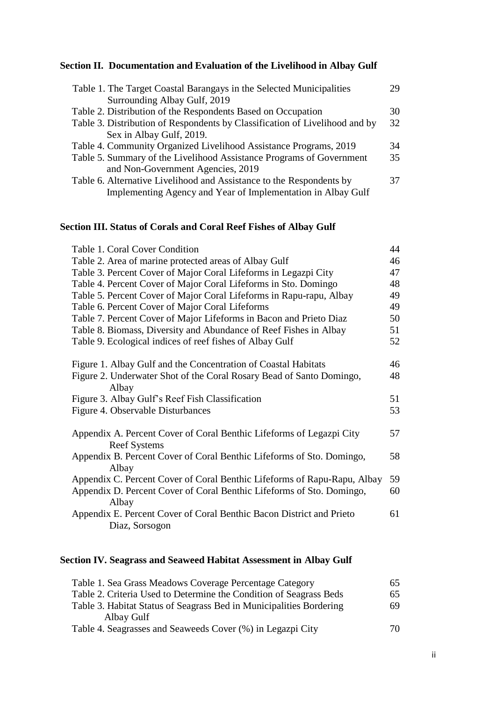# **Section II. Documentation and Evaluation of the Livelihood in Albay Gulf**

| Table 1. The Target Coastal Barangays in the Selected Municipalities        | 29 |
|-----------------------------------------------------------------------------|----|
| Surrounding Albay Gulf, 2019                                                |    |
| Table 2. Distribution of the Respondents Based on Occupation                | 30 |
| Table 3. Distribution of Respondents by Classification of Livelihood and by | 32 |
| Sex in Albay Gulf, 2019.                                                    |    |
| Table 4. Community Organized Livelihood Assistance Programs, 2019           | 34 |
| Table 5. Summary of the Livelihood Assistance Programs of Government        | 35 |
| and Non-Government Agencies, 2019                                           |    |
| Table 6. Alternative Livelihood and Assistance to the Respondents by        | 37 |
| Implementing Agency and Year of Implementation in Albay Gulf                |    |
|                                                                             |    |

# **Section III. Status of Corals and Coral Reef Fishes of Albay Gulf**

| Table 1. Coral Cover Condition                                                | 44 |
|-------------------------------------------------------------------------------|----|
| Table 2. Area of marine protected areas of Albay Gulf                         | 46 |
| Table 3. Percent Cover of Major Coral Lifeforms in Legazpi City               | 47 |
| Table 4. Percent Cover of Major Coral Lifeforms in Sto. Domingo               | 48 |
| Table 5. Percent Cover of Major Coral Lifeforms in Rapu-rapu, Albay           | 49 |
| Table 6. Percent Cover of Major Coral Lifeforms                               | 49 |
| Table 7. Percent Cover of Major Lifeforms in Bacon and Prieto Diaz            | 50 |
| Table 8. Biomass, Diversity and Abundance of Reef Fishes in Albay             | 51 |
| Table 9. Ecological indices of reef fishes of Albay Gulf                      | 52 |
|                                                                               |    |
| Figure 1. Albay Gulf and the Concentration of Coastal Habitats                | 46 |
| Figure 2. Underwater Shot of the Coral Rosary Bead of Santo Domingo,<br>Albay | 48 |
| Figure 3. Albay Gulf's Reef Fish Classification                               | 51 |
| Figure 4. Observable Disturbances                                             | 53 |
|                                                                               |    |
| Appendix A. Percent Cover of Coral Benthic Lifeforms of Legazpi City          | 57 |
| <b>Reef Systems</b>                                                           |    |
| Appendix B. Percent Cover of Coral Benthic Lifeforms of Sto. Domingo,         | 58 |
| Albay                                                                         |    |
| Appendix C. Percent Cover of Coral Benthic Lifeforms of Rapu-Rapu, Albay      | 59 |
| Appendix D. Percent Cover of Coral Benthic Lifeforms of Sto. Domingo,         | 60 |
| Albay                                                                         |    |
| Appendix E. Percent Cover of Coral Benthic Bacon District and Prieto          | 61 |
| Diaz, Sorsogon                                                                |    |

# **Section IV. Seagrass and Seaweed Habitat Assessment in Albay Gulf**

| Table 1. Sea Grass Meadows Coverage Percentage Category             | 65 |
|---------------------------------------------------------------------|----|
| Table 2. Criteria Used to Determine the Condition of Seagrass Beds  | 65 |
| Table 3. Habitat Status of Seagrass Bed in Municipalities Bordering | 69 |
| Albay Gulf                                                          |    |
| Table 4. Seagrasses and Seaweeds Cover (%) in Legazpi City          | 70 |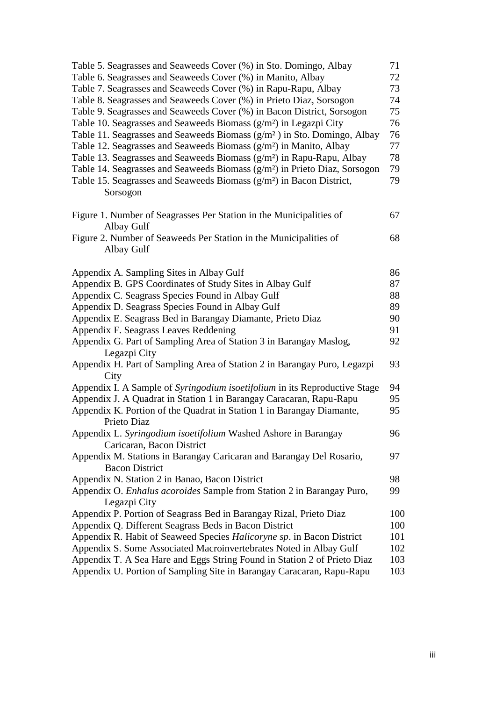| Table 5. Seagrasses and Seaweeds Cover (%) in Sto. Domingo, Albay                    | 71  |
|--------------------------------------------------------------------------------------|-----|
| Table 6. Seagrasses and Seaweeds Cover (%) in Manito, Albay                          | 72  |
| Table 7. Seagrasses and Seaweeds Cover (%) in Rapu-Rapu, Albay                       | 73  |
| Table 8. Seagrasses and Seaweeds Cover (%) in Prieto Diaz, Sorsogon                  | 74  |
| Table 9. Seagrasses and Seaweeds Cover (%) in Bacon District, Sorsogon               | 75  |
| Table 10. Seagrasses and Seaweeds Biomass $(g/m2)$ in Legazpi City                   | 76  |
| Table 11. Seagrasses and Seaweeds Biomass $(g/m^2)$ in Sto. Domingo, Albay           | 76  |
| Table 12. Seagrasses and Seaweeds Biomass $(g/m2)$ in Manito, Albay                  | 77  |
| Table 13. Seagrasses and Seaweeds Biomass $(g/m2)$ in Rapu-Rapu, Albay               | 78  |
| Table 14. Seagrasses and Seaweeds Biomass $(g/m2)$ in Prieto Diaz, Sorsogon          | 79  |
| Table 15. Seagrasses and Seaweeds Biomass (g/m <sup>2</sup> ) in Bacon District,     | 79  |
| Sorsogon                                                                             |     |
| Figure 1. Number of Seagrasses Per Station in the Municipalities of                  | 67  |
| Albay Gulf                                                                           |     |
| Figure 2. Number of Seaweeds Per Station in the Municipalities of<br>Albay Gulf      | 68  |
|                                                                                      |     |
| Appendix A. Sampling Sites in Albay Gulf                                             | 86  |
| Appendix B. GPS Coordinates of Study Sites in Albay Gulf                             | 87  |
| Appendix C. Seagrass Species Found in Albay Gulf                                     | 88  |
| Appendix D. Seagrass Species Found in Albay Gulf                                     | 89  |
| Appendix E. Seagrass Bed in Barangay Diamante, Prieto Diaz                           | 90  |
| Appendix F. Seagrass Leaves Reddening                                                | 91  |
| Appendix G. Part of Sampling Area of Station 3 in Barangay Maslog,                   | 92  |
| Legazpi City                                                                         |     |
| Appendix H. Part of Sampling Area of Station 2 in Barangay Puro, Legazpi<br>City     | 93  |
| Appendix I. A Sample of Syringodium isoetifolium in its Reproductive Stage           | 94  |
| Appendix J. A Quadrat in Station 1 in Barangay Caracaran, Rapu-Rapu                  | 95  |
| Appendix K. Portion of the Quadrat in Station 1 in Barangay Diamante,<br>Prieto Diaz | 95  |
| Appendix L. Syringodium isoetifolium Washed Ashore in Barangay                       | 96  |
| Caricaran, Bacon District                                                            |     |
| Appendix M. Stations in Barangay Caricaran and Barangay Del Rosario,                 | 97  |
| <b>Bacon District</b>                                                                |     |
| Appendix N. Station 2 in Banao, Bacon District                                       | 98  |
| Appendix O. Enhalus acoroides Sample from Station 2 in Barangay Puro,                | 99  |
| Legazpi City                                                                         |     |
| Appendix P. Portion of Seagrass Bed in Barangay Rizal, Prieto Diaz                   | 100 |
| Appendix Q. Different Seagrass Beds in Bacon District                                | 100 |
| Appendix R. Habit of Seaweed Species Halicoryne sp. in Bacon District                | 101 |
| Appendix S. Some Associated Macroinvertebrates Noted in Albay Gulf                   | 102 |
| Appendix T. A Sea Hare and Eggs String Found in Station 2 of Prieto Diaz             | 103 |
| Appendix U. Portion of Sampling Site in Barangay Caracaran, Rapu-Rapu                | 103 |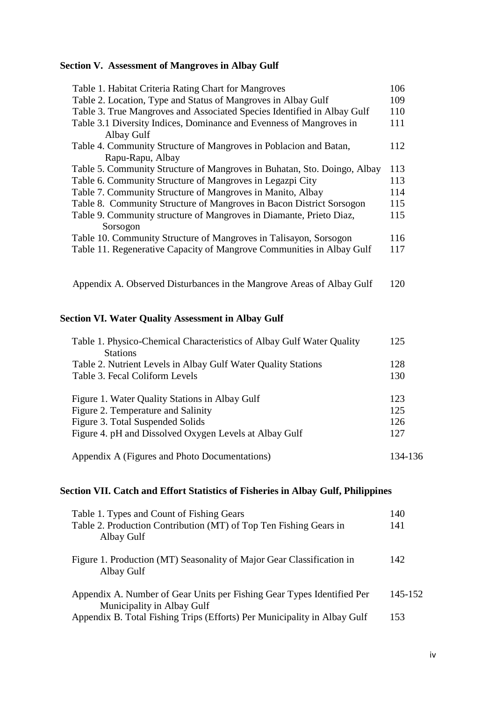# **Section V. Assessment of Mangroves in Albay Gulf**

| Table 1. Habitat Criteria Rating Chart for Mangroves                     | 106 |
|--------------------------------------------------------------------------|-----|
| Table 2. Location, Type and Status of Mangroves in Albay Gulf            | 109 |
| Table 3. True Mangroves and Associated Species Identified in Albay Gulf  | 110 |
| Table 3.1 Diversity Indices, Dominance and Evenness of Mangroves in      | 111 |
| Albay Gulf                                                               |     |
| Table 4. Community Structure of Mangroves in Poblacion and Batan,        | 112 |
| Rapu-Rapu, Albay                                                         |     |
| Table 5. Community Structure of Mangroves in Buhatan, Sto. Doingo, Albay | 113 |
| Table 6. Community Structure of Mangroves in Legazpi City                | 113 |
| Table 7. Community Structure of Mangroves in Manito, Albay               | 114 |
| Table 8. Community Structure of Mangroves in Bacon District Sorsogon     | 115 |
| Table 9. Community structure of Mangroves in Diamante, Prieto Diaz,      | 115 |
| Sorsogon                                                                 |     |
| Table 10. Community Structure of Mangroves in Talisayon, Sorsogon        | 116 |
| Table 11. Regenerative Capacity of Mangrove Communities in Albay Gulf    | 117 |
|                                                                          |     |

Appendix A. Observed Disturbances in the Mangrove Areas of Albay Gulf 120

# **Section VI. Water Quality Assessment in Albay Gulf**

| Table 1. Physico-Chemical Characteristics of Albay Gulf Water Quality | 125     |
|-----------------------------------------------------------------------|---------|
| <b>Stations</b>                                                       |         |
| Table 2. Nutrient Levels in Albay Gulf Water Quality Stations         | 128     |
| Table 3. Fecal Coliform Levels                                        | 130     |
|                                                                       |         |
| Figure 1. Water Quality Stations in Albay Gulf                        | 123     |
| Figure 2. Temperature and Salinity                                    | 125     |
| Figure 3. Total Suspended Solids                                      | 126     |
| Figure 4. pH and Dissolved Oxygen Levels at Albay Gulf                | 127     |
|                                                                       |         |
| Appendix A (Figures and Photo Documentations)                         | 134-136 |
|                                                                       |         |

# **Section VII. Catch and Effort Statistics of Fisheries in Albay Gulf, Philippines**

| Table 1. Types and Count of Fishing Gears                                                            | 140     |
|------------------------------------------------------------------------------------------------------|---------|
| Table 2. Production Contribution (MT) of Top Ten Fishing Gears in<br>Albay Gulf                      | 141     |
| Figure 1. Production (MT) Seasonality of Major Gear Classification in<br>Albay Gulf                  | 142     |
| Appendix A. Number of Gear Units per Fishing Gear Types Identified Per<br>Municipality in Albay Gulf | 145-152 |
| Appendix B. Total Fishing Trips (Efforts) Per Municipality in Albay Gulf                             | 153     |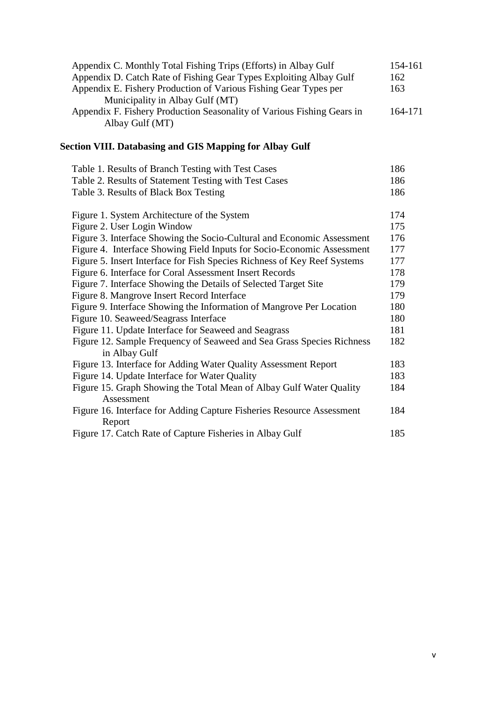| Appendix C. Monthly Total Fishing Trips (Efforts) in Albay Gulf                           | 154-161 |
|-------------------------------------------------------------------------------------------|---------|
| Appendix D. Catch Rate of Fishing Gear Types Exploiting Albay Gulf                        | 162     |
| Appendix E. Fishery Production of Various Fishing Gear Types per                          | 163     |
| Municipality in Albay Gulf (MT)                                                           |         |
| Appendix F. Fishery Production Seasonality of Various Fishing Gears in<br>Albay Gulf (MT) | 164-171 |
|                                                                                           |         |

# **Section VIII. Databasing and GIS Mapping for Albay Gulf**

| Table 1. Results of Branch Testing with Test Cases                                | 186 |
|-----------------------------------------------------------------------------------|-----|
| Table 2. Results of Statement Testing with Test Cases                             | 186 |
| Table 3. Results of Black Box Testing                                             | 186 |
| Figure 1. System Architecture of the System                                       | 174 |
| Figure 2. User Login Window                                                       | 175 |
| Figure 3. Interface Showing the Socio-Cultural and Economic Assessment            | 176 |
| Figure 4. Interface Showing Field Inputs for Socio-Economic Assessment            | 177 |
| Figure 5. Insert Interface for Fish Species Richness of Key Reef Systems          | 177 |
| Figure 6. Interface for Coral Assessment Insert Records                           | 178 |
| Figure 7. Interface Showing the Details of Selected Target Site                   | 179 |
| Figure 8. Mangrove Insert Record Interface                                        | 179 |
| Figure 9. Interface Showing the Information of Mangrove Per Location              | 180 |
| Figure 10. Seaweed/Seagrass Interface                                             | 180 |
| Figure 11. Update Interface for Seaweed and Seagrass                              | 181 |
| Figure 12. Sample Frequency of Seaweed and Sea Grass Species Richness             | 182 |
| in Albay Gulf                                                                     |     |
| Figure 13. Interface for Adding Water Quality Assessment Report                   | 183 |
| Figure 14. Update Interface for Water Quality                                     | 183 |
| Figure 15. Graph Showing the Total Mean of Albay Gulf Water Quality<br>Assessment | 184 |
| Figure 16. Interface for Adding Capture Fisheries Resource Assessment<br>Report   | 184 |
| Figure 17. Catch Rate of Capture Fisheries in Albay Gulf                          | 185 |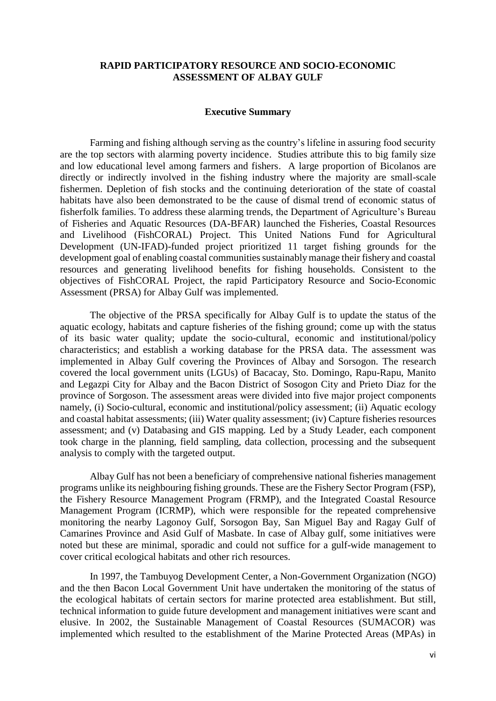### **RAPID PARTICIPATORY RESOURCE AND SOCIO-ECONOMIC ASSESSMENT OF ALBAY GULF**

#### **Executive Summary**

Farming and fishing although serving as the country's lifeline in assuring food security are the top sectors with alarming poverty incidence. Studies attribute this to big family size and low educational level among farmers and fishers. A large proportion of Bicolanos are directly or indirectly involved in the fishing industry where the majority are small-scale fishermen. Depletion of fish stocks and the continuing deterioration of the state of coastal habitats have also been demonstrated to be the cause of dismal trend of economic status of fisherfolk families. To address these alarming trends, the Department of Agriculture's Bureau of Fisheries and Aquatic Resources (DA-BFAR) launched the Fisheries, Coastal Resources and Livelihood (FishCORAL) Project. This United Nations Fund for Agricultural Development (UN-IFAD)-funded project prioritized 11 target fishing grounds for the development goal of enabling coastal communities sustainably manage their fishery and coastal resources and generating livelihood benefits for fishing households. Consistent to the objectives of FishCORAL Project, the rapid Participatory Resource and Socio-Economic Assessment (PRSA) for Albay Gulf was implemented.

The objective of the PRSA specifically for Albay Gulf is to update the status of the aquatic ecology, habitats and capture fisheries of the fishing ground; come up with the status of its basic water quality; update the socio-cultural, economic and institutional/policy characteristics; and establish a working database for the PRSA data. The assessment was implemented in Albay Gulf covering the Provinces of Albay and Sorsogon. The research covered the local government units (LGUs) of Bacacay, Sto. Domingo, Rapu-Rapu, Manito and Legazpi City for Albay and the Bacon District of Sosogon City and Prieto Diaz for the province of Sorgoson. The assessment areas were divided into five major project components namely, (i) Socio-cultural, economic and institutional/policy assessment; (ii) Aquatic ecology and coastal habitat assessments; (iii) Water quality assessment; (iv) Capture fisheries resources assessment; and (v) Databasing and GIS mapping. Led by a Study Leader, each component took charge in the planning, field sampling, data collection, processing and the subsequent analysis to comply with the targeted output.

Albay Gulf has not been a beneficiary of comprehensive national fisheries management programs unlike its neighbouring fishing grounds. These are the Fishery Sector Program (FSP), the Fishery Resource Management Program (FRMP), and the Integrated Coastal Resource Management Program (ICRMP), which were responsible for the repeated comprehensive monitoring the nearby Lagonoy Gulf, Sorsogon Bay, San Miguel Bay and Ragay Gulf of Camarines Province and Asid Gulf of Masbate. In case of Albay gulf, some initiatives were noted but these are minimal, sporadic and could not suffice for a gulf-wide management to cover critical ecological habitats and other rich resources.

In 1997, the Tambuyog Development Center, a Non-Government Organization (NGO) and the then Bacon Local Government Unit have undertaken the monitoring of the status of the ecological habitats of certain sectors for marine protected area establishment. But still, technical information to guide future development and management initiatives were scant and elusive. In 2002, the Sustainable Management of Coastal Resources (SUMACOR) was implemented which resulted to the establishment of the Marine Protected Areas (MPAs) in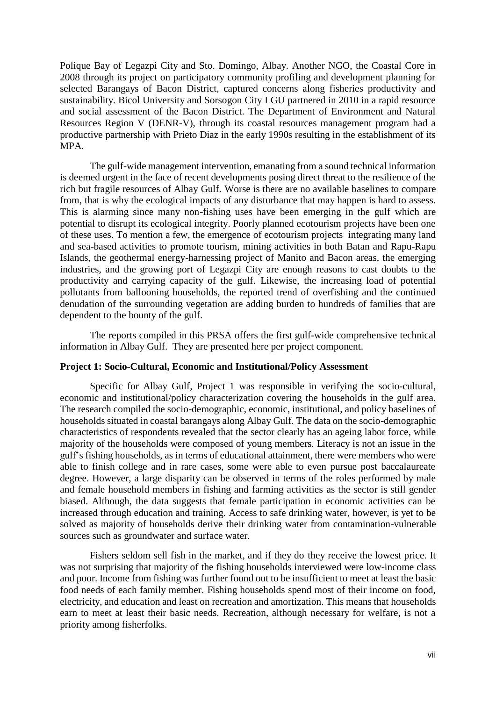Polique Bay of Legazpi City and Sto. Domingo, Albay. Another NGO, the Coastal Core in 2008 through its project on participatory community profiling and development planning for selected Barangays of Bacon District, captured concerns along fisheries productivity and sustainability. Bicol University and Sorsogon City LGU partnered in 2010 in a rapid resource and social assessment of the Bacon District. The Department of Environment and Natural Resources Region V (DENR-V), through its coastal resources management program had a productive partnership with Prieto Diaz in the early 1990s resulting in the establishment of its MPA.

The gulf-wide management intervention, emanating from a sound technical information is deemed urgent in the face of recent developments posing direct threat to the resilience of the rich but fragile resources of Albay Gulf. Worse is there are no available baselines to compare from, that is why the ecological impacts of any disturbance that may happen is hard to assess. This is alarming since many non-fishing uses have been emerging in the gulf which are potential to disrupt its ecological integrity. Poorly planned ecotourism projects have been one of these uses. To mention a few, the emergence of ecotourism projects integrating many land and sea-based activities to promote tourism, mining activities in both Batan and Rapu-Rapu Islands, the geothermal energy-harnessing project of Manito and Bacon areas, the emerging industries, and the growing port of Legazpi City are enough reasons to cast doubts to the productivity and carrying capacity of the gulf. Likewise, the increasing load of potential pollutants from ballooning households, the reported trend of overfishing and the continued denudation of the surrounding vegetation are adding burden to hundreds of families that are dependent to the bounty of the gulf.

The reports compiled in this PRSA offers the first gulf-wide comprehensive technical information in Albay Gulf. They are presented here per project component.

### **Project 1: Socio-Cultural, Economic and Institutional/Policy Assessment**

Specific for Albay Gulf, Project 1 was responsible in verifying the socio-cultural, economic and institutional/policy characterization covering the households in the gulf area. The research compiled the socio-demographic, economic, institutional, and policy baselines of households situated in coastal barangays along Albay Gulf. The data on the socio-demographic characteristics of respondents revealed that the sector clearly has an ageing labor force, while majority of the households were composed of young members. Literacy is not an issue in the gulf's fishing households, as in terms of educational attainment, there were members who were able to finish college and in rare cases, some were able to even pursue post baccalaureate degree. However, a large disparity can be observed in terms of the roles performed by male and female household members in fishing and farming activities as the sector is still gender biased. Although, the data suggests that female participation in economic activities can be increased through education and training. Access to safe drinking water, however, is yet to be solved as majority of households derive their drinking water from contamination-vulnerable sources such as groundwater and surface water.

Fishers seldom sell fish in the market, and if they do they receive the lowest price. It was not surprising that majority of the fishing households interviewed were low-income class and poor. Income from fishing was further found out to be insufficient to meet at least the basic food needs of each family member. Fishing households spend most of their income on food, electricity, and education and least on recreation and amortization. This means that households earn to meet at least their basic needs. Recreation, although necessary for welfare, is not a priority among fisherfolks.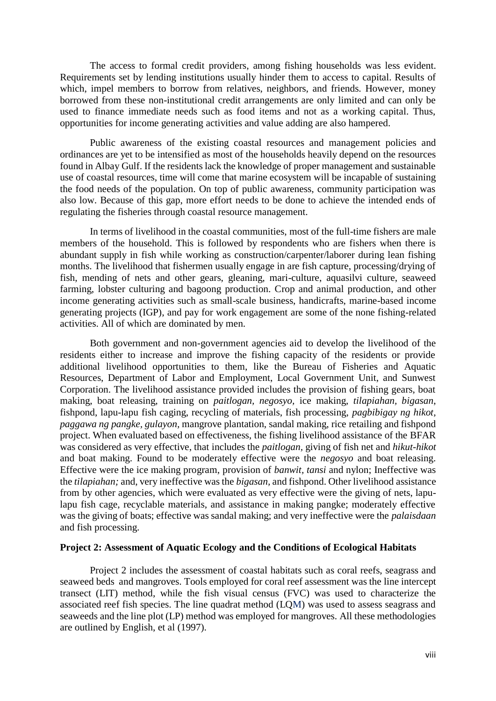The access to formal credit providers, among fishing households was less evident. Requirements set by lending institutions usually hinder them to access to capital. Results of which, impel members to borrow from relatives, neighbors, and friends. However, money borrowed from these non-institutional credit arrangements are only limited and can only be used to finance immediate needs such as food items and not as a working capital. Thus, opportunities for income generating activities and value adding are also hampered.

Public awareness of the existing coastal resources and management policies and ordinances are yet to be intensified as most of the households heavily depend on the resources found in Albay Gulf. If the residents lack the knowledge of proper management and sustainable use of coastal resources, time will come that marine ecosystem will be incapable of sustaining the food needs of the population. On top of public awareness, community participation was also low. Because of this gap, more effort needs to be done to achieve the intended ends of regulating the fisheries through coastal resource management.

In terms of livelihood in the coastal communities, most of the full-time fishers are male members of the household. This is followed by respondents who are fishers when there is abundant supply in fish while working as construction/carpenter/laborer during lean fishing months. The livelihood that fishermen usually engage in are fish capture, processing/drying of fish, mending of nets and other gears, gleaning, mari-culture, aquasilvi culture, seaweed farming, lobster culturing and bagoong production. Crop and animal production, and other income generating activities such as small-scale business, handicrafts, marine-based income generating projects (IGP), and pay for work engagement are some of the none fishing-related activities. All of which are dominated by men.

Both government and non-government agencies aid to develop the livelihood of the residents either to increase and improve the fishing capacity of the residents or provide additional livelihood opportunities to them, like the Bureau of Fisheries and Aquatic Resources, Department of Labor and Employment, Local Government Unit, and Sunwest Corporation. The livelihood assistance provided includes the provision of fishing gears, boat making, boat releasing, training on *paitlogan, negosyo,* ice making, *tilapiahan, bigasan*, fishpond, lapu-lapu fish caging, recycling of materials, fish processing, *pagbibigay ng hikot, paggawa ng pangke, gulayon,* mangrove plantation, sandal making, rice retailing and fishpond project. When evaluated based on effectiveness, the fishing livelihood assistance of the BFAR was considered as very effective, that includes the *paitlogan,* giving of fish net and *hikut-hikot* and boat making. Found to be moderately effective were the *negosyo* and boat releasing. Effective were the ice making program, provision of *banwit, tansi* and nylon; Ineffective was the *tilapiahan;* and, very ineffective was the *bigasan,* and fishpond. Other livelihood assistance from by other agencies, which were evaluated as very effective were the giving of nets, lapulapu fish cage, recyclable materials, and assistance in making pangke; moderately effective was the giving of boats; effective was sandal making; and very ineffective were the *palaisdaan*  and fish processing.

### **Project 2: Assessment of Aquatic Ecology and the Conditions of Ecological Habitats**

Project 2 includes the assessment of coastal habitats such as coral reefs, seagrass and seaweed beds and mangroves. Tools employed for coral reef assessment was the line intercept transect (LIT) method, while the fish visual census (FVC) was used to characterize the associated reef fish species. The line quadrat method (LQM) was used to assess seagrass and seaweeds and the line plot (LP) method was employed for mangroves. All these methodologies are outlined by English, et al (1997).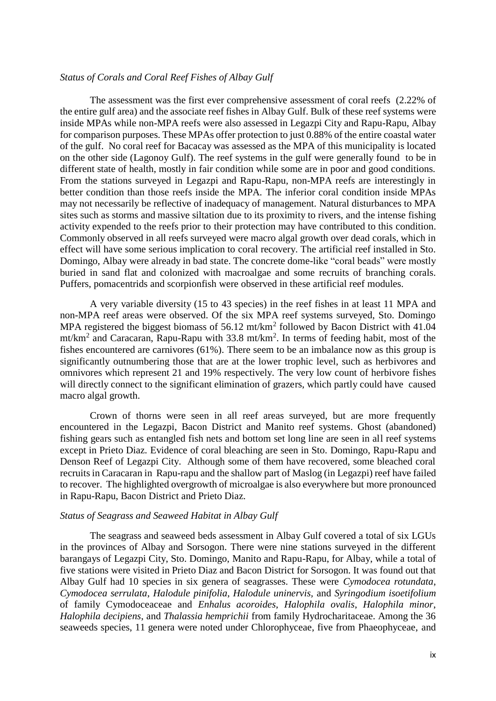### *Status of Corals and Coral Reef Fishes of Albay Gulf*

The assessment was the first ever comprehensive assessment of coral reefs (2.22% of the entire gulf area) and the associate reef fishes in Albay Gulf. Bulk of these reef systems were inside MPAs while non-MPA reefs were also assessed in Legazpi City and Rapu-Rapu, Albay for comparison purposes. These MPAs offer protection to just 0.88% of the entire coastal water of the gulf. No coral reef for Bacacay was assessed as the MPA of this municipality is located on the other side (Lagonoy Gulf). The reef systems in the gulf were generally found to be in different state of health, mostly in fair condition while some are in poor and good conditions. From the stations surveyed in Legazpi and Rapu-Rapu, non-MPA reefs are interestingly in better condition than those reefs inside the MPA. The inferior coral condition inside MPAs may not necessarily be reflective of inadequacy of management. Natural disturbances to MPA sites such as storms and massive siltation due to its proximity to rivers, and the intense fishing activity expended to the reefs prior to their protection may have contributed to this condition. Commonly observed in all reefs surveyed were macro algal growth over dead corals, which in effect will have some serious implication to coral recovery. The artificial reef installed in Sto. Domingo, Albay were already in bad state. The concrete dome-like "coral beads" were mostly buried in sand flat and colonized with macroalgae and some recruits of branching corals. Puffers, pomacentrids and scorpionfish were observed in these artificial reef modules.

A very variable diversity (15 to 43 species) in the reef fishes in at least 11 MPA and non-MPA reef areas were observed. Of the six MPA reef systems surveyed, Sto. Domingo MPA registered the biggest biomass of  $56.12 \text{ mt/km}^2$  followed by Bacon District with 41.04 mt/km<sup>2</sup> and Caracaran, Rapu-Rapu with 33.8 mt/km<sup>2</sup>. In terms of feeding habit, most of the fishes encountered are carnivores (61%). There seem to be an imbalance now as this group is significantly outnumbering those that are at the lower trophic level, such as herbivores and omnivores which represent 21 and 19% respectively. The very low count of herbivore fishes will directly connect to the significant elimination of grazers, which partly could have caused macro algal growth.

Crown of thorns were seen in all reef areas surveyed, but are more frequently encountered in the Legazpi, Bacon District and Manito reef systems. Ghost (abandoned) fishing gears such as entangled fish nets and bottom set long line are seen in all reef systems except in Prieto Diaz. Evidence of coral bleaching are seen in Sto. Domingo, Rapu-Rapu and Denson Reef of Legazpi City. Although some of them have recovered, some bleached coral recruits in Caracaran in Rapu-rapu and the shallow part of Maslog (in Legazpi) reef have failed to recover. The highlighted overgrowth of microalgae is also everywhere but more pronounced in Rapu-Rapu, Bacon District and Prieto Diaz.

### *Status of Seagrass and Seaweed Habitat in Albay Gulf*

The seagrass and seaweed beds assessment in Albay Gulf covered a total of six LGUs in the provinces of Albay and Sorsogon. There were nine stations surveyed in the different barangays of Legazpi City, Sto. Domingo, Manito and Rapu-Rapu, for Albay, while a total of five stations were visited in Prieto Diaz and Bacon District for Sorsogon. It was found out that Albay Gulf had 10 species in six genera of seagrasses. These were *Cymodocea rotundata*, *Cymodocea serrulata*, *Halodule pinifolia*, *Halodule uninervis,* and *Syringodium isoetifolium*  of family Cymodoceaceae and *Enhalus acoroides*, *Halophila ovalis*, *Halophila minor*, *Halophila decipiens*, and *Thalassia hemprichii* from family Hydrocharitaceae. Among the 36 seaweeds species, 11 genera were noted under Chlorophyceae, five from Phaeophyceae, and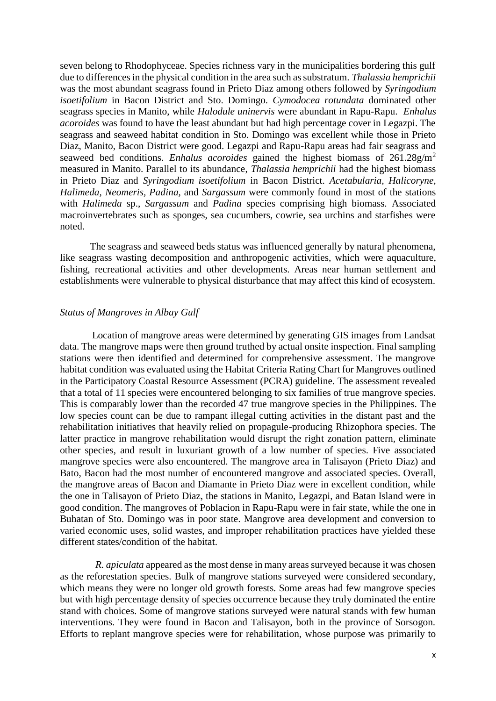seven belong to Rhodophyceae. Species richness vary in the municipalities bordering this gulf due to differences in the physical condition in the area such as substratum. *Thalassia hemprichii* was the most abundant seagrass found in Prieto Diaz among others followed by *Syringodium isoetifolium* in Bacon District and Sto. Domingo. *Cymodocea rotundata* dominated other seagrass species in Manito, while *Halodule uninervis* were abundant in Rapu-Rapu. *Enhalus acoroides* was found to have the least abundant but had high percentage cover in Legazpi. The seagrass and seaweed habitat condition in Sto. Domingo was excellent while those in Prieto Diaz, Manito, Bacon District were good. Legazpi and Rapu-Rapu areas had fair seagrass and seaweed bed conditions. *Enhalus acoroides* gained the highest biomass of 261.28g/m<sup>2</sup> measured in Manito. Parallel to its abundance, *Thalassia hemprichii* had the highest biomass in Prieto Diaz and *Syringodium isoetifolium* in Bacon District. *Acetabularia, Halicoryne, Halimeda, Neomeris, Padina,* and *Sargassum* were commonly found in most of the stations with *Halimeda* sp., *Sargassum* and *Padina* species comprising high biomass. Associated macroinvertebrates such as sponges, sea cucumbers, cowrie, sea urchins and starfishes were noted.

The seagrass and seaweed beds status was influenced generally by natural phenomena, like seagrass wasting decomposition and anthropogenic activities, which were aquaculture, fishing, recreational activities and other developments. Areas near human settlement and establishments were vulnerable to physical disturbance that may affect this kind of ecosystem.

### *Status of Mangroves in Albay Gulf*

Location of mangrove areas were determined by generating GIS images from Landsat data. The mangrove maps were then ground truthed by actual onsite inspection. Final sampling stations were then identified and determined for comprehensive assessment. The mangrove habitat condition was evaluated using the Habitat Criteria Rating Chart for Mangroves outlined in the Participatory Coastal Resource Assessment (PCRA) guideline. The assessment revealed that a total of 11 species were encountered belonging to six families of true mangrove species. This is comparably lower than the recorded 47 true mangrove species in the Philippines. The low species count can be due to rampant illegal cutting activities in the distant past and the rehabilitation initiatives that heavily relied on propagule-producing Rhizophora species. The latter practice in mangrove rehabilitation would disrupt the right zonation pattern, eliminate other species, and result in luxuriant growth of a low number of species. Five associated mangrove species were also encountered. The mangrove area in Talisayon (Prieto Diaz) and Bato, Bacon had the most number of encountered mangrove and associated species. Overall, the mangrove areas of Bacon and Diamante in Prieto Diaz were in excellent condition, while the one in Talisayon of Prieto Diaz, the stations in Manito, Legazpi, and Batan Island were in good condition. The mangroves of Poblacion in Rapu-Rapu were in fair state, while the one in Buhatan of Sto. Domingo was in poor state. Mangrove area development and conversion to varied economic uses, solid wastes, and improper rehabilitation practices have yielded these different states/condition of the habitat.

*R. apiculata* appeared as the most dense in many areas surveyed because it was chosen as the reforestation species. Bulk of mangrove stations surveyed were considered secondary, which means they were no longer old growth forests. Some areas had few mangrove species but with high percentage density of species occurrence because they truly dominated the entire stand with choices. Some of mangrove stations surveyed were natural stands with few human interventions. They were found in Bacon and Talisayon, both in the province of Sorsogon. Efforts to replant mangrove species were for rehabilitation, whose purpose was primarily to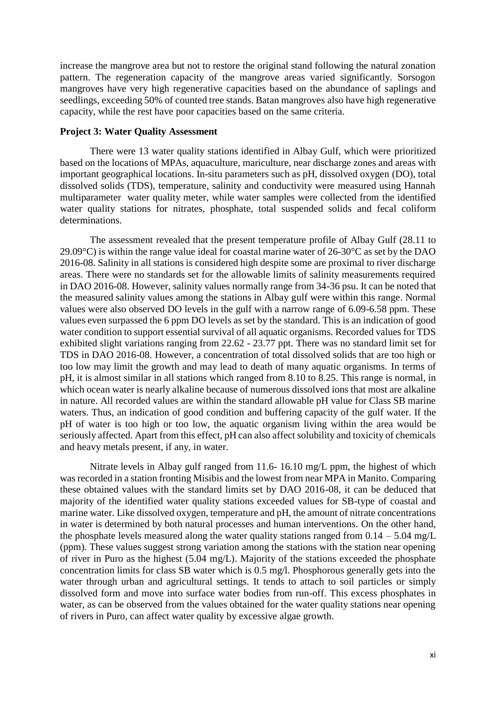increase the mangrove area but not to restore the original stand following the natural zonation pattern. The regeneration capacity of the mangrove areas varied significantly. Sorsogon mangroves have very high regenerative capacities based on the abundance of saplings and seedlings, exceeding 50% of counted tree stands. Batan mangroves also have high regenerative capacity, while the rest have poor capacities based on the same criteria.

### **Project 3: Water Quality Assessment**

There were 13 water quality stations identified in Albay Gulf, which were prioritized based on the locations of MPAs, aquaculture, mariculture, near discharge zones and areas with important geographical locations. In-situ parameters such as pH, dissolved oxygen (DO), total dissolved solids (TDS), temperature, salinity and conductivity were measured using Hannah multiparameter water quality meter, while water samples were collected from the identified water quality stations for nitrates, phosphate, total suspended solids and fecal coliform determinations.

The assessment revealed that the present temperature profile of Albay Gulf (28.11 to 29.09 $^{\circ}$ C) is within the range value ideal for coastal marine water of 26-30 $^{\circ}$ C as set by the DAO 2016-08. Salinity in all stations is considered high despite some are proximal to river discharge areas. There were no standards set for the allowable limits of salinity measurements required in DAO 2016-08. However, salinity values normally range from 34-36 psu. It can be noted that the measured salinity values among the stations in Albay gulf were within this range. Normal values were also observed DO levels in the gulf with a narrow range of 6.09-6.58 ppm. These values even surpassed the 6 ppm DO levels as set by the standard. This is an indication of good water condition to support essential survival of all aquatic organisms. Recorded values for TDS exhibited slight variations ranging from 22.62 - 23.77 ppt. There was no standard limit set for TDS in DAO 2016-08. However, a concentration of total dissolved solids that are too high or too low may limit the growth and may lead to death of many aquatic organisms. In terms of pH, it is almost similar in all stations which ranged from 8.10 to 8.25. This range is normal, in which ocean water is nearly alkaline because of numerous dissolved ions that most are alkaline in nature. All recorded values are within the standard allowable pH value for Class SB marine waters. Thus, an indication of good condition and buffering capacity of the gulf water. If the pH of water is too high or too low, the aquatic organism living within the area would be seriously affected. Apart from this effect, pH can also affect solubility and toxicity of chemicals and heavy metals present, if any, in water.

Nitrate levels in Albay gulf ranged from 11.6- 16.10 mg/L ppm, the highest of which was recorded in a station fronting Misibis and the lowest from near MPA in Manito. Comparing these obtained values with the standard limits set by DAO 2016-08, it can be deduced that majority of the identified water quality stations exceeded values for SB-type of coastal and marine water. Like dissolved oxygen, temperature and pH, the amount of nitrate concentrations in water is determined by both natural processes and human interventions. On the other hand, the phosphate levels measured along the water quality stations ranged from  $0.14 - 5.04$  mg/L (ppm). These values suggest strong variation among the stations with the station near opening of river in Puro as the highest (5.04 mg/L). Majority of the stations exceeded the phosphate concentration limits for class SB water which is 0.5 mg/l. Phosphorous generally gets into the water through urban and agricultural settings. It tends to attach to soil particles or simply dissolved form and move into surface water bodies from run-off. This excess phosphates in water, as can be observed from the values obtained for the water quality stations near opening of rivers in Puro, can affect water quality by excessive algae growth.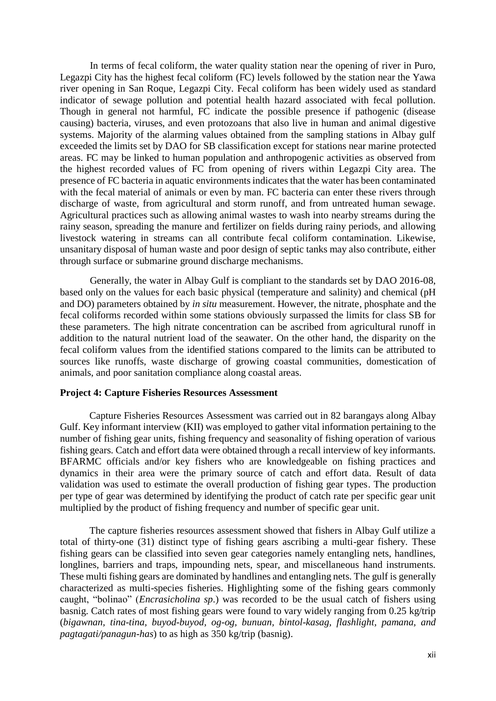In terms of fecal coliform, the water quality station near the opening of river in Puro, Legazpi City has the highest fecal coliform (FC) levels followed by the station near the Yawa river opening in San Roque, Legazpi City. Fecal coliform has been widely used as standard indicator of sewage pollution and potential health hazard associated with fecal pollution. Though in general not harmful, FC indicate the possible presence if pathogenic (disease causing) bacteria, viruses, and even protozoans that also live in human and animal digestive systems. Majority of the alarming values obtained from the sampling stations in Albay gulf exceeded the limits set by DAO for SB classification except for stations near marine protected areas. FC may be linked to human population and anthropogenic activities as observed from the highest recorded values of FC from opening of rivers within Legazpi City area. The presence of FC bacteria in aquatic environments indicates that the water has been contaminated with the fecal material of animals or even by man. FC bacteria can enter these rivers through discharge of waste, from agricultural and storm runoff, and from untreated human sewage. Agricultural practices such as allowing animal wastes to wash into nearby streams during the rainy season, spreading the manure and fertilizer on fields during rainy periods, and allowing livestock watering in streams can all contribute fecal coliform contamination. Likewise, unsanitary disposal of human waste and poor design of septic tanks may also contribute, either through surface or submarine ground discharge mechanisms.

Generally, the water in Albay Gulf is compliant to the standards set by DAO 2016-08, based only on the values for each basic physical (temperature and salinity) and chemical (pH and DO) parameters obtained by *in situ* measurement. However, the nitrate, phosphate and the fecal coliforms recorded within some stations obviously surpassed the limits for class SB for these parameters. The high nitrate concentration can be ascribed from agricultural runoff in addition to the natural nutrient load of the seawater. On the other hand, the disparity on the fecal coliform values from the identified stations compared to the limits can be attributed to sources like runoffs, waste discharge of growing coastal communities, domestication of animals, and poor sanitation compliance along coastal areas.

### **Project 4: Capture Fisheries Resources Assessment**

Capture Fisheries Resources Assessment was carried out in 82 barangays along Albay Gulf. Key informant interview (KII) was employed to gather vital information pertaining to the number of fishing gear units, fishing frequency and seasonality of fishing operation of various fishing gears. Catch and effort data were obtained through a recall interview of key informants. BFARMC officials and/or key fishers who are knowledgeable on fishing practices and dynamics in their area were the primary source of catch and effort data. Result of data validation was used to estimate the overall production of fishing gear types. The production per type of gear was determined by identifying the product of catch rate per specific gear unit multiplied by the product of fishing frequency and number of specific gear unit.

The capture fisheries resources assessment showed that fishers in Albay Gulf utilize a total of thirty-one (31) distinct type of fishing gears ascribing a multi-gear fishery. These fishing gears can be classified into seven gear categories namely entangling nets, handlines, longlines, barriers and traps, impounding nets, spear, and miscellaneous hand instruments. These multi fishing gears are dominated by handlines and entangling nets. The gulf is generally characterized as multi-species fisheries. Highlighting some of the fishing gears commonly caught, "bolinao" (*Encrasicholina sp*.) was recorded to be the usual catch of fishers using basnig. Catch rates of most fishing gears were found to vary widely ranging from 0.25 kg/trip (*bigawnan, tina-tina, buyod-buyod, og-og, bunuan, bintol-kasag, flashlight, pamana, and pagtagati/panagun-has*) to as high as 350 kg/trip (basnig).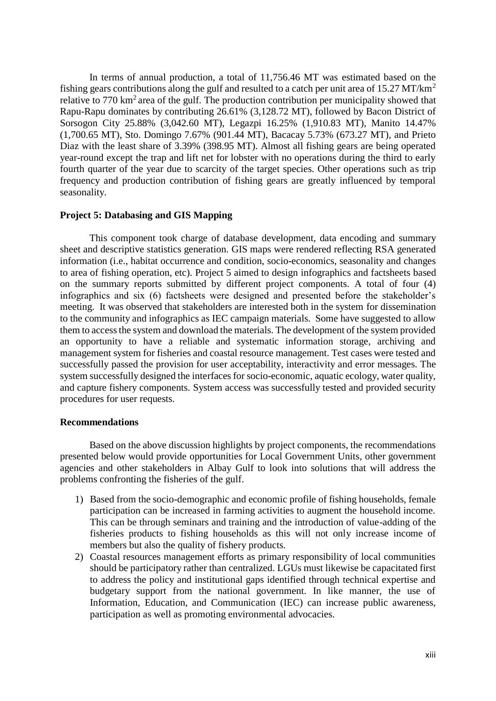In terms of annual production, a total of 11,756.46 MT was estimated based on the fishing gears contributions along the gulf and resulted to a catch per unit area of 15.27 MT/km<sup>2</sup> relative to  $770 \text{ km}^2$  area of the gulf. The production contribution per municipality showed that Rapu-Rapu dominates by contributing 26.61% (3,128.72 MT), followed by Bacon District of Sorsogon City 25.88% (3,042.60 MT), Legazpi 16.25% (1,910.83 MT), Manito 14.47% (1,700.65 MT), Sto. Domingo 7.67% (901.44 MT), Bacacay 5.73% (673.27 MT), and Prieto Diaz with the least share of 3.39% (398.95 MT). Almost all fishing gears are being operated year-round except the trap and lift net for lobster with no operations during the third to early fourth quarter of the year due to scarcity of the target species. Other operations such as trip frequency and production contribution of fishing gears are greatly influenced by temporal seasonality.

### **Project 5: Databasing and GIS Mapping**

This component took charge of database development, data encoding and summary sheet and descriptive statistics generation. GIS maps were rendered reflecting RSA generated information (i.e., habitat occurrence and condition, socio-economics, seasonality and changes to area of fishing operation, etc). Project 5 aimed to design infographics and factsheets based on the summary reports submitted by different project components. A total of four (4) infographics and six (6) factsheets were designed and presented before the stakeholder's meeting. It was observed that stakeholders are interested both in the system for dissemination to the community and infographics as IEC campaign materials. Some have suggested to allow them to access the system and download the materials. The development of the system provided an opportunity to have a reliable and systematic information storage, archiving and management system for fisheries and coastal resource management. Test cases were tested and successfully passed the provision for user acceptability, interactivity and error messages. The system successfully designed the interfaces for socio-economic, aquatic ecology, water quality, and capture fishery components. System access was successfully tested and provided security procedures for user requests.

### **Recommendations**

Based on the above discussion highlights by project components, the recommendations presented below would provide opportunities for Local Government Units, other government agencies and other stakeholders in Albay Gulf to look into solutions that will address the problems confronting the fisheries of the gulf.

- 1) Based from the socio-demographic and economic profile of fishing households, female participation can be increased in farming activities to augment the household income. This can be through seminars and training and the introduction of value-adding of the fisheries products to fishing households as this will not only increase income of members but also the quality of fishery products.
- 2) Coastal resources management efforts as primary responsibility of local communities should be participatory rather than centralized. LGUs must likewise be capacitated first to address the policy and institutional gaps identified through technical expertise and budgetary support from the national government. In like manner, the use of Information, Education, and Communication (IEC) can increase public awareness, participation as well as promoting environmental advocacies.